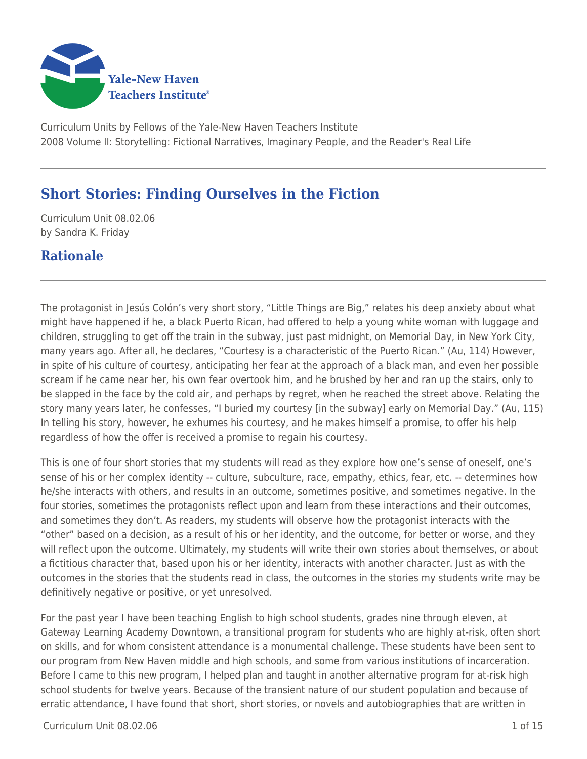

Curriculum Units by Fellows of the Yale-New Haven Teachers Institute 2008 Volume II: Storytelling: Fictional Narratives, Imaginary People, and the Reader's Real Life

# **Short Stories: Finding Ourselves in the Fiction**

Curriculum Unit 08.02.06 by Sandra K. Friday

## **Rationale**

The protagonist in Jesús Colón's very short story, "Little Things are Big," relates his deep anxiety about what might have happened if he, a black Puerto Rican, had offered to help a young white woman with luggage and children, struggling to get off the train in the subway, just past midnight, on Memorial Day, in New York City, many years ago. After all, he declares, "Courtesy is a characteristic of the Puerto Rican." (Au, 114) However, in spite of his culture of courtesy, anticipating her fear at the approach of a black man, and even her possible scream if he came near her, his own fear overtook him, and he brushed by her and ran up the stairs, only to be slapped in the face by the cold air, and perhaps by regret, when he reached the street above. Relating the story many years later, he confesses, "I buried my courtesy [in the subway] early on Memorial Day." (Au, 115) In telling his story, however, he exhumes his courtesy, and he makes himself a promise, to offer his help regardless of how the offer is received a promise to regain his courtesy.

This is one of four short stories that my students will read as they explore how one's sense of oneself, one's sense of his or her complex identity -- culture, subculture, race, empathy, ethics, fear, etc. -- determines how he/she interacts with others, and results in an outcome, sometimes positive, and sometimes negative. In the four stories, sometimes the protagonists reflect upon and learn from these interactions and their outcomes, and sometimes they don't. As readers, my students will observe how the protagonist interacts with the "other" based on a decision, as a result of his or her identity, and the outcome, for better or worse, and they will reflect upon the outcome. Ultimately, my students will write their own stories about themselves, or about a fictitious character that, based upon his or her identity, interacts with another character. Just as with the outcomes in the stories that the students read in class, the outcomes in the stories my students write may be definitively negative or positive, or yet unresolved.

For the past year I have been teaching English to high school students, grades nine through eleven, at Gateway Learning Academy Downtown, a transitional program for students who are highly at-risk, often short on skills, and for whom consistent attendance is a monumental challenge. These students have been sent to our program from New Haven middle and high schools, and some from various institutions of incarceration. Before I came to this new program, I helped plan and taught in another alternative program for at-risk high school students for twelve years. Because of the transient nature of our student population and because of erratic attendance, I have found that short, short stories, or novels and autobiographies that are written in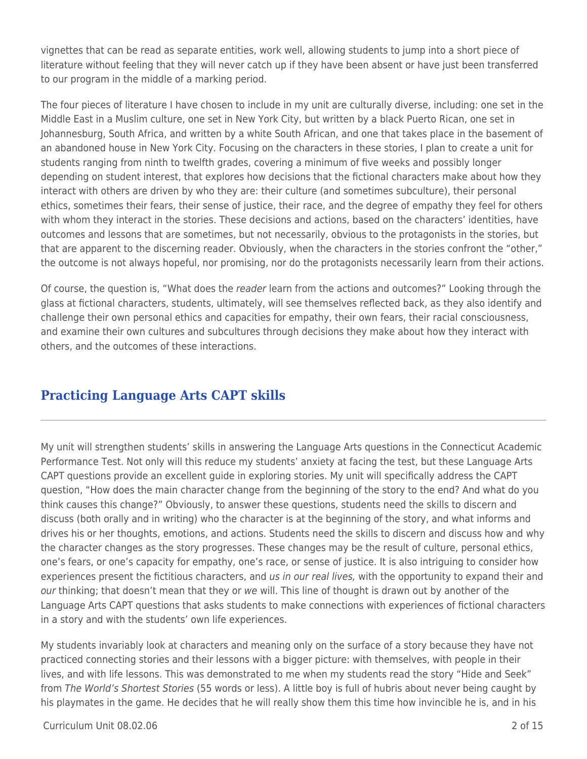vignettes that can be read as separate entities, work well, allowing students to jump into a short piece of literature without feeling that they will never catch up if they have been absent or have just been transferred to our program in the middle of a marking period.

The four pieces of literature I have chosen to include in my unit are culturally diverse, including: one set in the Middle East in a Muslim culture, one set in New York City, but written by a black Puerto Rican, one set in Johannesburg, South Africa, and written by a white South African, and one that takes place in the basement of an abandoned house in New York City. Focusing on the characters in these stories, I plan to create a unit for students ranging from ninth to twelfth grades, covering a minimum of five weeks and possibly longer depending on student interest, that explores how decisions that the fictional characters make about how they interact with others are driven by who they are: their culture (and sometimes subculture), their personal ethics, sometimes their fears, their sense of justice, their race, and the degree of empathy they feel for others with whom they interact in the stories. These decisions and actions, based on the characters' identities, have outcomes and lessons that are sometimes, but not necessarily, obvious to the protagonists in the stories, but that are apparent to the discerning reader. Obviously, when the characters in the stories confront the "other," the outcome is not always hopeful, nor promising, nor do the protagonists necessarily learn from their actions.

Of course, the question is, "What does the reader learn from the actions and outcomes?" Looking through the glass at fictional characters, students, ultimately, will see themselves reflected back, as they also identify and challenge their own personal ethics and capacities for empathy, their own fears, their racial consciousness, and examine their own cultures and subcultures through decisions they make about how they interact with others, and the outcomes of these interactions.

# **Practicing Language Arts CAPT skills**

My unit will strengthen students' skills in answering the Language Arts questions in the Connecticut Academic Performance Test. Not only will this reduce my students' anxiety at facing the test, but these Language Arts CAPT questions provide an excellent guide in exploring stories. My unit will specifically address the CAPT question, "How does the main character change from the beginning of the story to the end? And what do you think causes this change?" Obviously, to answer these questions, students need the skills to discern and discuss (both orally and in writing) who the character is at the beginning of the story, and what informs and drives his or her thoughts, emotions, and actions. Students need the skills to discern and discuss how and why the character changes as the story progresses. These changes may be the result of culture, personal ethics, one's fears, or one's capacity for empathy, one's race, or sense of justice. It is also intriguing to consider how experiences present the fictitious characters, and us in our real lives, with the opportunity to expand their and our thinking; that doesn't mean that they or we will. This line of thought is drawn out by another of the Language Arts CAPT questions that asks students to make connections with experiences of fictional characters in a story and with the students' own life experiences.

My students invariably look at characters and meaning only on the surface of a story because they have not practiced connecting stories and their lessons with a bigger picture: with themselves, with people in their lives, and with life lessons. This was demonstrated to me when my students read the story "Hide and Seek" from The World's Shortest Stories (55 words or less). A little boy is full of hubris about never being caught by his playmates in the game. He decides that he will really show them this time how invincible he is, and in his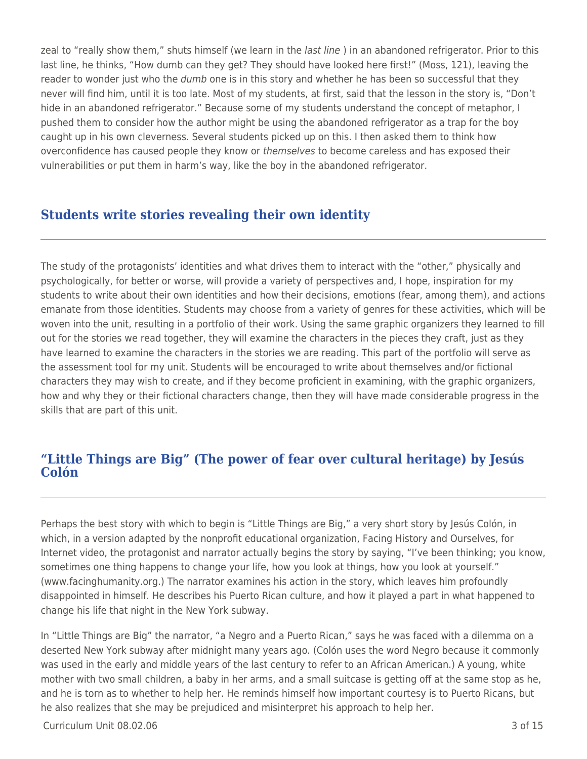zeal to "really show them," shuts himself (we learn in the *last line*) in an abandoned refrigerator. Prior to this last line, he thinks, "How dumb can they get? They should have looked here first!" (Moss, 121), leaving the reader to wonder just who the dumb one is in this story and whether he has been so successful that they never will find him, until it is too late. Most of my students, at first, said that the lesson in the story is, "Don't hide in an abandoned refrigerator." Because some of my students understand the concept of metaphor, I pushed them to consider how the author might be using the abandoned refrigerator as a trap for the boy caught up in his own cleverness. Several students picked up on this. I then asked them to think how overconfidence has caused people they know or themselves to become careless and has exposed their vulnerabilities or put them in harm's way, like the boy in the abandoned refrigerator.

## **Students write stories revealing their own identity**

The study of the protagonists' identities and what drives them to interact with the "other," physically and psychologically, for better or worse, will provide a variety of perspectives and, I hope, inspiration for my students to write about their own identities and how their decisions, emotions (fear, among them), and actions emanate from those identities. Students may choose from a variety of genres for these activities, which will be woven into the unit, resulting in a portfolio of their work. Using the same graphic organizers they learned to fill out for the stories we read together, they will examine the characters in the pieces they craft, just as they have learned to examine the characters in the stories we are reading. This part of the portfolio will serve as the assessment tool for my unit. Students will be encouraged to write about themselves and/or fictional characters they may wish to create, and if they become proficient in examining, with the graphic organizers, how and why they or their fictional characters change, then they will have made considerable progress in the skills that are part of this unit.

## **"Little Things are Big" (The power of fear over cultural heritage) by Jesús Colón**

Perhaps the best story with which to begin is "Little Things are Big," a very short story by Jesús Colón, in which, in a version adapted by the nonprofit educational organization, Facing History and Ourselves, for Internet video, the protagonist and narrator actually begins the story by saying, "I've been thinking; you know, sometimes one thing happens to change your life, how you look at things, how you look at yourself." (www.facinghumanity.org.) The narrator examines his action in the story, which leaves him profoundly disappointed in himself. He describes his Puerto Rican culture, and how it played a part in what happened to change his life that night in the New York subway.

In "Little Things are Big" the narrator, "a Negro and a Puerto Rican," says he was faced with a dilemma on a deserted New York subway after midnight many years ago. (Colón uses the word Negro because it commonly was used in the early and middle years of the last century to refer to an African American.) A young, white mother with two small children, a baby in her arms, and a small suitcase is getting off at the same stop as he, and he is torn as to whether to help her. He reminds himself how important courtesy is to Puerto Ricans, but he also realizes that she may be prejudiced and misinterpret his approach to help her.

Curriculum Unit 08.02.06 3 of 15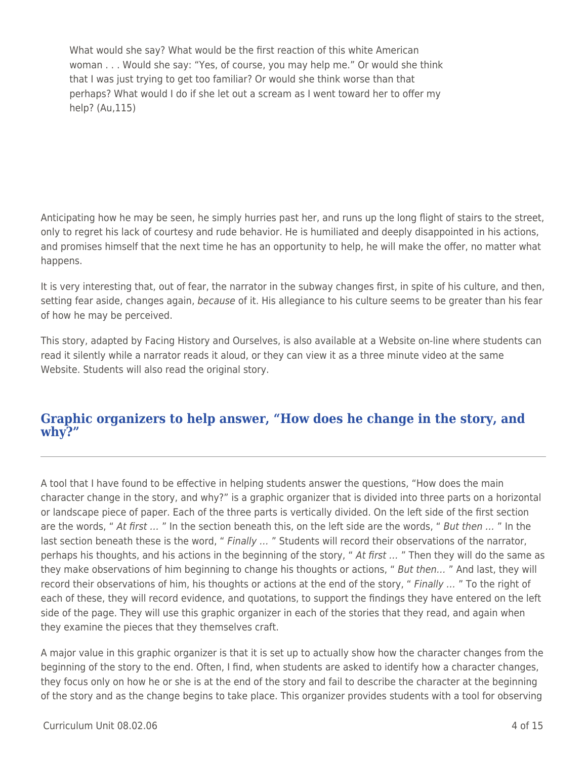What would she say? What would be the first reaction of this white American woman . . . Would she say: "Yes, of course, you may help me." Or would she think that I was just trying to get too familiar? Or would she think worse than that perhaps? What would I do if she let out a scream as I went toward her to offer my help? (Au,115)

Anticipating how he may be seen, he simply hurries past her, and runs up the long flight of stairs to the street, only to regret his lack of courtesy and rude behavior. He is humiliated and deeply disappointed in his actions, and promises himself that the next time he has an opportunity to help, he will make the offer, no matter what happens.

It is very interesting that, out of fear, the narrator in the subway changes first, in spite of his culture, and then, setting fear aside, changes again, because of it. His allegiance to his culture seems to be greater than his fear of how he may be perceived.

This story, adapted by Facing History and Ourselves, is also available at a Website on-line where students can read it silently while a narrator reads it aloud, or they can view it as a three minute video at the same Website. Students will also read the original story.

### **Graphic organizers to help answer, "How does he change in the story, and why?"**

A tool that I have found to be effective in helping students answer the questions, "How does the main character change in the story, and why?" is a graphic organizer that is divided into three parts on a horizontal or landscape piece of paper. Each of the three parts is vertically divided. On the left side of the first section are the words, " At first ... " In the section beneath this, on the left side are the words, " But then ... " In the last section beneath these is the word, " Finally ... " Students will record their observations of the narrator, perhaps his thoughts, and his actions in the beginning of the story, " At first ... " Then they will do the same as they make observations of him beginning to change his thoughts or actions, " But then… " And last, they will record their observations of him, his thoughts or actions at the end of the story, " Finally ... " To the right of each of these, they will record evidence, and quotations, to support the findings they have entered on the left side of the page. They will use this graphic organizer in each of the stories that they read, and again when they examine the pieces that they themselves craft.

A major value in this graphic organizer is that it is set up to actually show how the character changes from the beginning of the story to the end. Often, I find, when students are asked to identify how a character changes, they focus only on how he or she is at the end of the story and fail to describe the character at the beginning of the story and as the change begins to take place. This organizer provides students with a tool for observing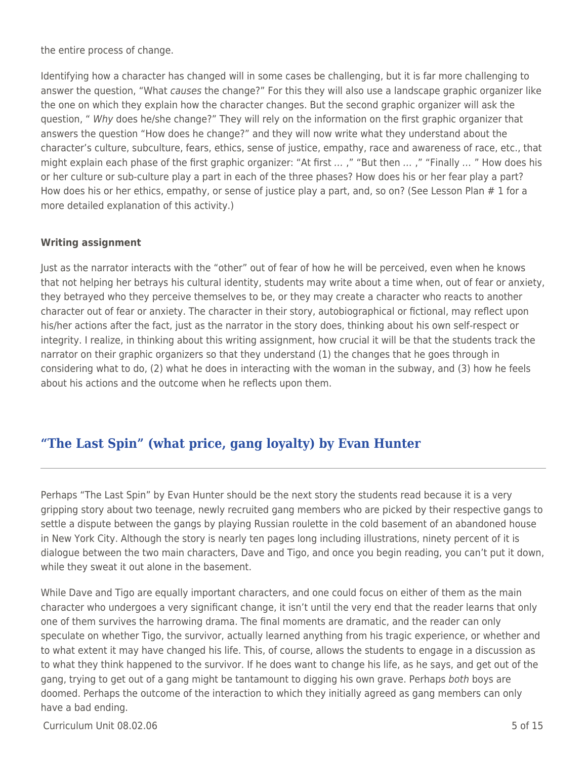the entire process of change.

Identifying how a character has changed will in some cases be challenging, but it is far more challenging to answer the question, "What causes the change?" For this they will also use a landscape graphic organizer like the one on which they explain how the character changes. But the second graphic organizer will ask the question, " Why does he/she change?" They will rely on the information on the first graphic organizer that answers the question "How does he change?" and they will now write what they understand about the character's culture, subculture, fears, ethics, sense of justice, empathy, race and awareness of race, etc., that might explain each phase of the first graphic organizer: "At first ...," "But then ...," "Finally ..." How does his or her culture or sub-culture play a part in each of the three phases? How does his or her fear play a part? How does his or her ethics, empathy, or sense of justice play a part, and, so on? (See Lesson Plan # 1 for a more detailed explanation of this activity.)

### **Writing assignment**

Just as the narrator interacts with the "other" out of fear of how he will be perceived, even when he knows that not helping her betrays his cultural identity, students may write about a time when, out of fear or anxiety, they betrayed who they perceive themselves to be, or they may create a character who reacts to another character out of fear or anxiety. The character in their story, autobiographical or fictional, may reflect upon his/her actions after the fact, just as the narrator in the story does, thinking about his own self-respect or integrity. I realize, in thinking about this writing assignment, how crucial it will be that the students track the narrator on their graphic organizers so that they understand (1) the changes that he goes through in considering what to do, (2) what he does in interacting with the woman in the subway, and (3) how he feels about his actions and the outcome when he reflects upon them.

# **"The Last Spin" (what price, gang loyalty) by Evan Hunter**

Perhaps "The Last Spin" by Evan Hunter should be the next story the students read because it is a very gripping story about two teenage, newly recruited gang members who are picked by their respective gangs to settle a dispute between the gangs by playing Russian roulette in the cold basement of an abandoned house in New York City. Although the story is nearly ten pages long including illustrations, ninety percent of it is dialogue between the two main characters, Dave and Tigo, and once you begin reading, you can't put it down, while they sweat it out alone in the basement.

While Dave and Tigo are equally important characters, and one could focus on either of them as the main character who undergoes a very significant change, it isn't until the very end that the reader learns that only one of them survives the harrowing drama. The final moments are dramatic, and the reader can only speculate on whether Tigo, the survivor, actually learned anything from his tragic experience, or whether and to what extent it may have changed his life. This, of course, allows the students to engage in a discussion as to what they think happened to the survivor. If he does want to change his life, as he says, and get out of the gang, trying to get out of a gang might be tantamount to digging his own grave. Perhaps both boys are doomed. Perhaps the outcome of the interaction to which they initially agreed as gang members can only have a bad ending.

Curriculum Unit 08.02.06 5 of 15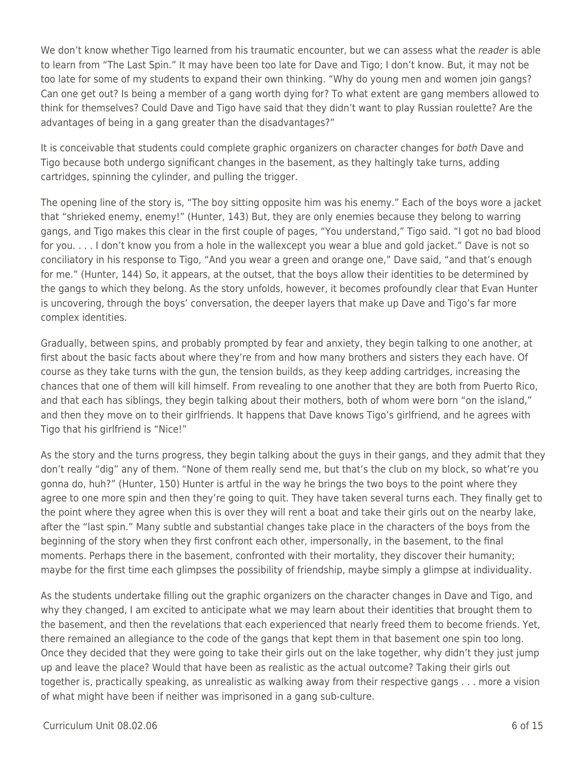We don't know whether Tigo learned from his traumatic encounter, but we can assess what the reader is able to learn from "The Last Spin." It may have been too late for Dave and Tigo; I don't know. But, it may not be too late for some of my students to expand their own thinking. "Why do young men and women join gangs? Can one get out? Is being a member of a gang worth dying for? To what extent are gang members allowed to think for themselves? Could Dave and Tigo have said that they didn't want to play Russian roulette? Are the advantages of being in a gang greater than the disadvantages?"

It is conceivable that students could complete graphic organizers on character changes for both Dave and Tigo because both undergo significant changes in the basement, as they haltingly take turns, adding cartridges, spinning the cylinder, and pulling the trigger.

The opening line of the story is, "The boy sitting opposite him was his enemy." Each of the boys wore a jacket that "shrieked enemy, enemy!" (Hunter, 143) But, they are only enemies because they belong to warring gangs, and Tigo makes this clear in the first couple of pages, "You understand," Tigo said. "I got no bad blood for you. . . . I don't know you from a hole in the wallexcept you wear a blue and gold jacket." Dave is not so conciliatory in his response to Tigo, "And you wear a green and orange one," Dave said, "and that's enough for me." (Hunter, 144) So, it appears, at the outset, that the boys allow their identities to be determined by the gangs to which they belong. As the story unfolds, however, it becomes profoundly clear that Evan Hunter is uncovering, through the boys' conversation, the deeper layers that make up Dave and Tigo's far more complex identities.

Gradually, between spins, and probably prompted by fear and anxiety, they begin talking to one another, at first about the basic facts about where they're from and how many brothers and sisters they each have. Of course as they take turns with the gun, the tension builds, as they keep adding cartridges, increasing the chances that one of them will kill himself. From revealing to one another that they are both from Puerto Rico, and that each has siblings, they begin talking about their mothers, both of whom were born "on the island," and then they move on to their girlfriends. It happens that Dave knows Tigo's girlfriend, and he agrees with Tigo that his girlfriend is "Nice!"

As the story and the turns progress, they begin talking about the guys in their gangs, and they admit that they don't really "dig" any of them. "None of them really send me, but that's the club on my block, so what're you gonna do, huh?" (Hunter, 150) Hunter is artful in the way he brings the two boys to the point where they agree to one more spin and then they're going to quit. They have taken several turns each. They finally get to the point where they agree when this is over they will rent a boat and take their girls out on the nearby lake, after the "last spin." Many subtle and substantial changes take place in the characters of the boys from the beginning of the story when they first confront each other, impersonally, in the basement, to the final moments. Perhaps there in the basement, confronted with their mortality, they discover their humanity; maybe for the first time each glimpses the possibility of friendship, maybe simply a glimpse at individuality.

As the students undertake filling out the graphic organizers on the character changes in Dave and Tigo, and why they changed, I am excited to anticipate what we may learn about their identities that brought them to the basement, and then the revelations that each experienced that nearly freed them to become friends. Yet, there remained an allegiance to the code of the gangs that kept them in that basement one spin too long. Once they decided that they were going to take their girls out on the lake together, why didn't they just jump up and leave the place? Would that have been as realistic as the actual outcome? Taking their girls out together is, practically speaking, as unrealistic as walking away from their respective gangs . . . more a vision of what might have been if neither was imprisoned in a gang sub-culture.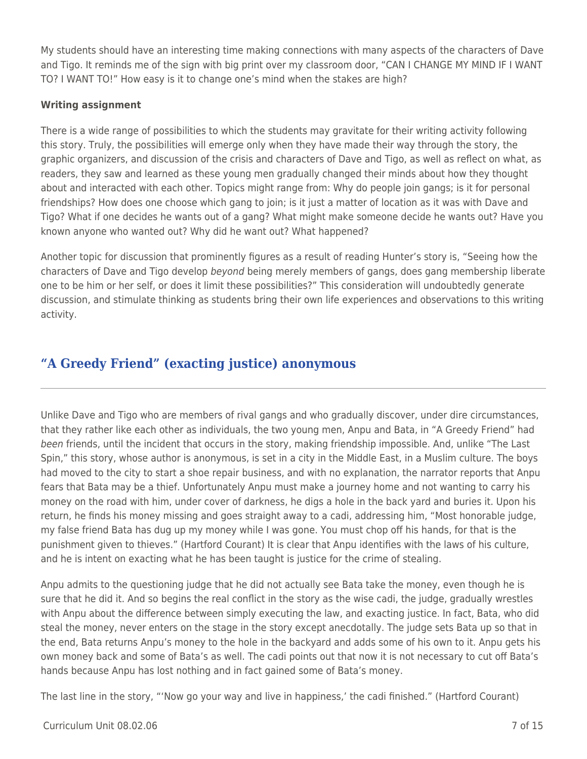My students should have an interesting time making connections with many aspects of the characters of Dave and Tigo. It reminds me of the sign with big print over my classroom door, "CAN I CHANGE MY MIND IF I WANT TO? I WANT TO!" How easy is it to change one's mind when the stakes are high?

### **Writing assignment**

There is a wide range of possibilities to which the students may gravitate for their writing activity following this story. Truly, the possibilities will emerge only when they have made their way through the story, the graphic organizers, and discussion of the crisis and characters of Dave and Tigo, as well as reflect on what, as readers, they saw and learned as these young men gradually changed their minds about how they thought about and interacted with each other. Topics might range from: Why do people join gangs; is it for personal friendships? How does one choose which gang to join; is it just a matter of location as it was with Dave and Tigo? What if one decides he wants out of a gang? What might make someone decide he wants out? Have you known anyone who wanted out? Why did he want out? What happened?

Another topic for discussion that prominently figures as a result of reading Hunter's story is, "Seeing how the characters of Dave and Tigo develop beyond being merely members of gangs, does gang membership liberate one to be him or her self, or does it limit these possibilities?" This consideration will undoubtedly generate discussion, and stimulate thinking as students bring their own life experiences and observations to this writing activity.

## **"A Greedy Friend" (exacting justice) anonymous**

Unlike Dave and Tigo who are members of rival gangs and who gradually discover, under dire circumstances, that they rather like each other as individuals, the two young men, Anpu and Bata, in "A Greedy Friend" had been friends, until the incident that occurs in the story, making friendship impossible. And, unlike "The Last Spin," this story, whose author is anonymous, is set in a city in the Middle East, in a Muslim culture. The boys had moved to the city to start a shoe repair business, and with no explanation, the narrator reports that Anpu fears that Bata may be a thief. Unfortunately Anpu must make a journey home and not wanting to carry his money on the road with him, under cover of darkness, he digs a hole in the back yard and buries it. Upon his return, he finds his money missing and goes straight away to a cadi, addressing him, "Most honorable judge, my false friend Bata has dug up my money while I was gone. You must chop off his hands, for that is the punishment given to thieves." (Hartford Courant) It is clear that Anpu identifies with the laws of his culture, and he is intent on exacting what he has been taught is justice for the crime of stealing.

Anpu admits to the questioning judge that he did not actually see Bata take the money, even though he is sure that he did it. And so begins the real conflict in the story as the wise cadi, the judge, gradually wrestles with Anpu about the difference between simply executing the law, and exacting justice. In fact, Bata, who did steal the money, never enters on the stage in the story except anecdotally. The judge sets Bata up so that in the end, Bata returns Anpu's money to the hole in the backyard and adds some of his own to it. Anpu gets his own money back and some of Bata's as well. The cadi points out that now it is not necessary to cut off Bata's hands because Anpu has lost nothing and in fact gained some of Bata's money.

The last line in the story, "'Now go your way and live in happiness,' the cadi finished." (Hartford Courant)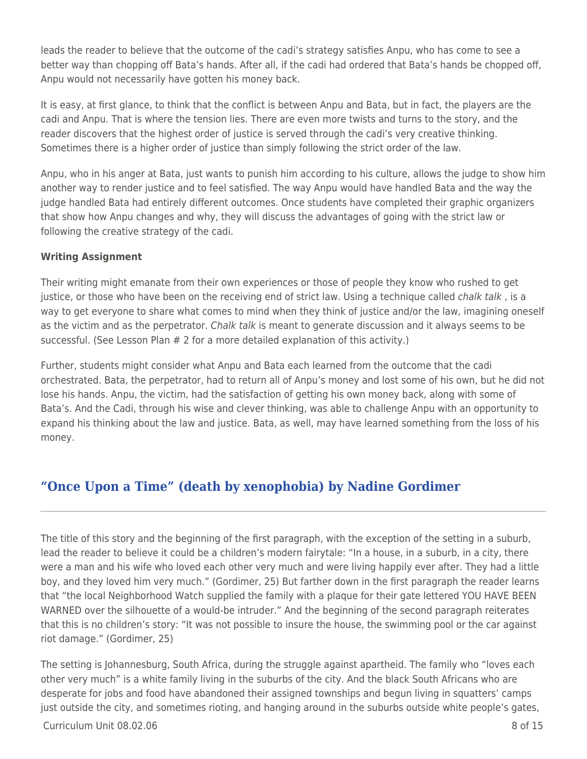leads the reader to believe that the outcome of the cadi's strategy satisfies Anpu, who has come to see a better way than chopping off Bata's hands. After all, if the cadi had ordered that Bata's hands be chopped off, Anpu would not necessarily have gotten his money back.

It is easy, at first glance, to think that the conflict is between Anpu and Bata, but in fact, the players are the cadi and Anpu. That is where the tension lies. There are even more twists and turns to the story, and the reader discovers that the highest order of justice is served through the cadi's very creative thinking. Sometimes there is a higher order of justice than simply following the strict order of the law.

Anpu, who in his anger at Bata, just wants to punish him according to his culture, allows the judge to show him another way to render justice and to feel satisfied. The way Anpu would have handled Bata and the way the judge handled Bata had entirely different outcomes. Once students have completed their graphic organizers that show how Anpu changes and why, they will discuss the advantages of going with the strict law or following the creative strategy of the cadi.

### **Writing Assignment**

Their writing might emanate from their own experiences or those of people they know who rushed to get justice, or those who have been on the receiving end of strict law. Using a technique called *chalk talk*, is a way to get everyone to share what comes to mind when they think of justice and/or the law, imagining oneself as the victim and as the perpetrator. Chalk talk is meant to generate discussion and it always seems to be successful. (See Lesson Plan # 2 for a more detailed explanation of this activity.)

Further, students might consider what Anpu and Bata each learned from the outcome that the cadi orchestrated. Bata, the perpetrator, had to return all of Anpu's money and lost some of his own, but he did not lose his hands. Anpu, the victim, had the satisfaction of getting his own money back, along with some of Bata's. And the Cadi, through his wise and clever thinking, was able to challenge Anpu with an opportunity to expand his thinking about the law and justice. Bata, as well, may have learned something from the loss of his money.

# **"Once Upon a Time" (death by xenophobia) by Nadine Gordimer**

The title of this story and the beginning of the first paragraph, with the exception of the setting in a suburb, lead the reader to believe it could be a children's modern fairytale: "In a house, in a suburb, in a city, there were a man and his wife who loved each other very much and were living happily ever after. They had a little boy, and they loved him very much." (Gordimer, 25) But farther down in the first paragraph the reader learns that "the local Neighborhood Watch supplied the family with a plaque for their gate lettered YOU HAVE BEEN WARNED over the silhouette of a would-be intruder." And the beginning of the second paragraph reiterates that this is no children's story: "It was not possible to insure the house, the swimming pool or the car against riot damage." (Gordimer, 25)

The setting is Johannesburg, South Africa, during the struggle against apartheid. The family who "loves each other very much" is a white family living in the suburbs of the city. And the black South Africans who are desperate for jobs and food have abandoned their assigned townships and begun living in squatters' camps just outside the city, and sometimes rioting, and hanging around in the suburbs outside white people's gates,

 $C$ urriculum Unit 08.02.06  $\overline{8}$  of 15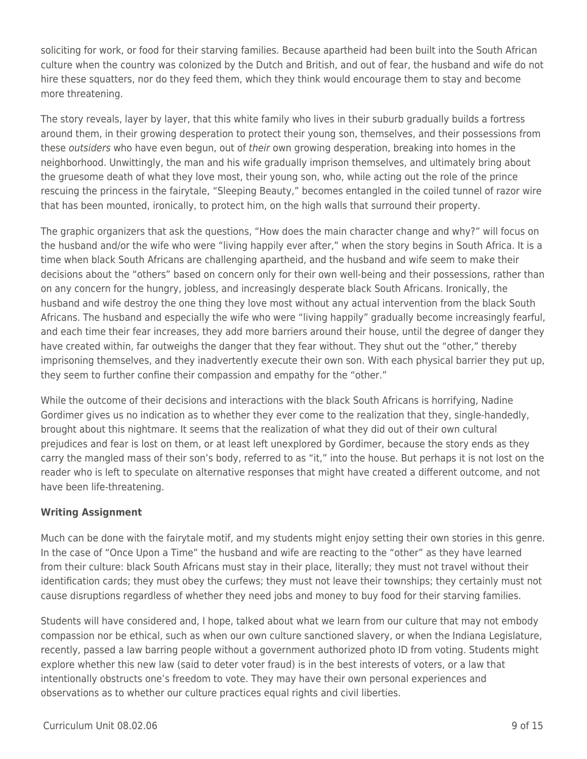soliciting for work, or food for their starving families. Because apartheid had been built into the South African culture when the country was colonized by the Dutch and British, and out of fear, the husband and wife do not hire these squatters, nor do they feed them, which they think would encourage them to stay and become more threatening.

The story reveals, layer by layer, that this white family who lives in their suburb gradually builds a fortress around them, in their growing desperation to protect their young son, themselves, and their possessions from these *outsiders* who have even begun, out of their own growing desperation, breaking into homes in the neighborhood. Unwittingly, the man and his wife gradually imprison themselves, and ultimately bring about the gruesome death of what they love most, their young son, who, while acting out the role of the prince rescuing the princess in the fairytale, "Sleeping Beauty," becomes entangled in the coiled tunnel of razor wire that has been mounted, ironically, to protect him, on the high walls that surround their property.

The graphic organizers that ask the questions, "How does the main character change and why?" will focus on the husband and/or the wife who were "living happily ever after," when the story begins in South Africa. It is a time when black South Africans are challenging apartheid, and the husband and wife seem to make their decisions about the "others" based on concern only for their own well-being and their possessions, rather than on any concern for the hungry, jobless, and increasingly desperate black South Africans. Ironically, the husband and wife destroy the one thing they love most without any actual intervention from the black South Africans. The husband and especially the wife who were "living happily" gradually become increasingly fearful, and each time their fear increases, they add more barriers around their house, until the degree of danger they have created within, far outweighs the danger that they fear without. They shut out the "other," thereby imprisoning themselves, and they inadvertently execute their own son. With each physical barrier they put up, they seem to further confine their compassion and empathy for the "other."

While the outcome of their decisions and interactions with the black South Africans is horrifying, Nadine Gordimer gives us no indication as to whether they ever come to the realization that they, single-handedly, brought about this nightmare. It seems that the realization of what they did out of their own cultural prejudices and fear is lost on them, or at least left unexplored by Gordimer, because the story ends as they carry the mangled mass of their son's body, referred to as "it," into the house. But perhaps it is not lost on the reader who is left to speculate on alternative responses that might have created a different outcome, and not have been life-threatening.

### **Writing Assignment**

Much can be done with the fairytale motif, and my students might enjoy setting their own stories in this genre. In the case of "Once Upon a Time" the husband and wife are reacting to the "other" as they have learned from their culture: black South Africans must stay in their place, literally; they must not travel without their identification cards; they must obey the curfews; they must not leave their townships; they certainly must not cause disruptions regardless of whether they need jobs and money to buy food for their starving families.

Students will have considered and, I hope, talked about what we learn from our culture that may not embody compassion nor be ethical, such as when our own culture sanctioned slavery, or when the Indiana Legislature, recently, passed a law barring people without a government authorized photo ID from voting. Students might explore whether this new law (said to deter voter fraud) is in the best interests of voters, or a law that intentionally obstructs one's freedom to vote. They may have their own personal experiences and observations as to whether our culture practices equal rights and civil liberties.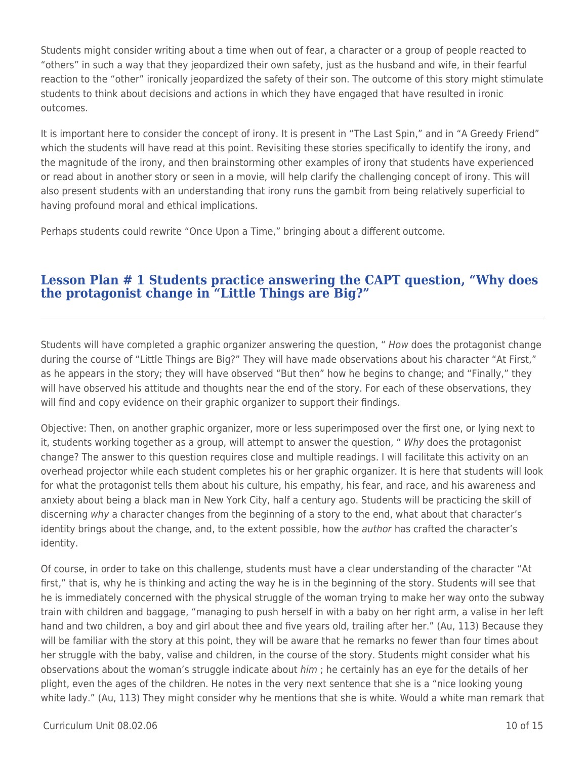Students might consider writing about a time when out of fear, a character or a group of people reacted to "others" in such a way that they jeopardized their own safety, just as the husband and wife, in their fearful reaction to the "other" ironically jeopardized the safety of their son. The outcome of this story might stimulate students to think about decisions and actions in which they have engaged that have resulted in ironic outcomes.

It is important here to consider the concept of irony. It is present in "The Last Spin," and in "A Greedy Friend" which the students will have read at this point. Revisiting these stories specifically to identify the irony, and the magnitude of the irony, and then brainstorming other examples of irony that students have experienced or read about in another story or seen in a movie, will help clarify the challenging concept of irony. This will also present students with an understanding that irony runs the gambit from being relatively superficial to having profound moral and ethical implications.

Perhaps students could rewrite "Once Upon a Time," bringing about a different outcome.

### **Lesson Plan # 1 Students practice answering the CAPT question, "Why does the protagonist change in "Little Things are Big?"**

Students will have completed a graphic organizer answering the question, " How does the protagonist change during the course of "Little Things are Big?" They will have made observations about his character "At First," as he appears in the story; they will have observed "But then" how he begins to change; and "Finally," they will have observed his attitude and thoughts near the end of the story. For each of these observations, they will find and copy evidence on their graphic organizer to support their findings.

Objective: Then, on another graphic organizer, more or less superimposed over the first one, or lying next to it, students working together as a group, will attempt to answer the question, " Why does the protagonist change? The answer to this question requires close and multiple readings. I will facilitate this activity on an overhead projector while each student completes his or her graphic organizer. It is here that students will look for what the protagonist tells them about his culture, his empathy, his fear, and race, and his awareness and anxiety about being a black man in New York City, half a century ago. Students will be practicing the skill of discerning why a character changes from the beginning of a story to the end, what about that character's identity brings about the change, and, to the extent possible, how the author has crafted the character's identity.

Of course, in order to take on this challenge, students must have a clear understanding of the character "At first," that is, why he is thinking and acting the way he is in the beginning of the story. Students will see that he is immediately concerned with the physical struggle of the woman trying to make her way onto the subway train with children and baggage, "managing to push herself in with a baby on her right arm, a valise in her left hand and two children, a boy and girl about thee and five years old, trailing after her." (Au, 113) Because they will be familiar with the story at this point, they will be aware that he remarks no fewer than four times about her struggle with the baby, valise and children, in the course of the story. Students might consider what his observations about the woman's struggle indicate about him ; he certainly has an eye for the details of her plight, even the ages of the children. He notes in the very next sentence that she is a "nice looking young white lady." (Au, 113) They might consider why he mentions that she is white. Would a white man remark that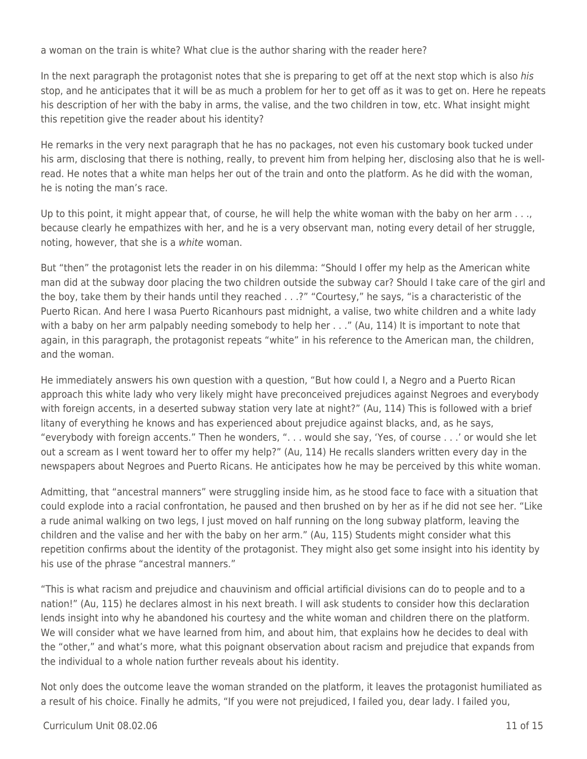a woman on the train is white? What clue is the author sharing with the reader here?

In the next paragraph the protagonist notes that she is preparing to get off at the next stop which is also his stop, and he anticipates that it will be as much a problem for her to get off as it was to get on. Here he repeats his description of her with the baby in arms, the valise, and the two children in tow, etc. What insight might this repetition give the reader about his identity?

He remarks in the very next paragraph that he has no packages, not even his customary book tucked under his arm, disclosing that there is nothing, really, to prevent him from helping her, disclosing also that he is wellread. He notes that a white man helps her out of the train and onto the platform. As he did with the woman, he is noting the man's race.

Up to this point, it might appear that, of course, he will help the white woman with the baby on her arm . . ., because clearly he empathizes with her, and he is a very observant man, noting every detail of her struggle, noting, however, that she is a white woman.

But "then" the protagonist lets the reader in on his dilemma: "Should I offer my help as the American white man did at the subway door placing the two children outside the subway car? Should I take care of the girl and the boy, take them by their hands until they reached . . .?" "Courtesy," he says, "is a characteristic of the Puerto Rican. And here I wasa Puerto Ricanhours past midnight, a valise, two white children and a white lady with a baby on her arm palpably needing somebody to help her . . ." (Au, 114) It is important to note that again, in this paragraph, the protagonist repeats "white" in his reference to the American man, the children, and the woman.

He immediately answers his own question with a question, "But how could I, a Negro and a Puerto Rican approach this white lady who very likely might have preconceived prejudices against Negroes and everybody with foreign accents, in a deserted subway station very late at night?" (Au, 114) This is followed with a brief litany of everything he knows and has experienced about prejudice against blacks, and, as he says, "everybody with foreign accents." Then he wonders, ". . . would she say, 'Yes, of course . . .' or would she let out a scream as I went toward her to offer my help?" (Au, 114) He recalls slanders written every day in the newspapers about Negroes and Puerto Ricans. He anticipates how he may be perceived by this white woman.

Admitting, that "ancestral manners" were struggling inside him, as he stood face to face with a situation that could explode into a racial confrontation, he paused and then brushed on by her as if he did not see her. "Like a rude animal walking on two legs, I just moved on half running on the long subway platform, leaving the children and the valise and her with the baby on her arm." (Au, 115) Students might consider what this repetition confirms about the identity of the protagonist. They might also get some insight into his identity by his use of the phrase "ancestral manners."

"This is what racism and prejudice and chauvinism and official artificial divisions can do to people and to a nation!" (Au, 115) he declares almost in his next breath. I will ask students to consider how this declaration lends insight into why he abandoned his courtesy and the white woman and children there on the platform. We will consider what we have learned from him, and about him, that explains how he decides to deal with the "other," and what's more, what this poignant observation about racism and prejudice that expands from the individual to a whole nation further reveals about his identity.

Not only does the outcome leave the woman stranded on the platform, it leaves the protagonist humiliated as a result of his choice. Finally he admits, "If you were not prejudiced, I failed you, dear lady. I failed you,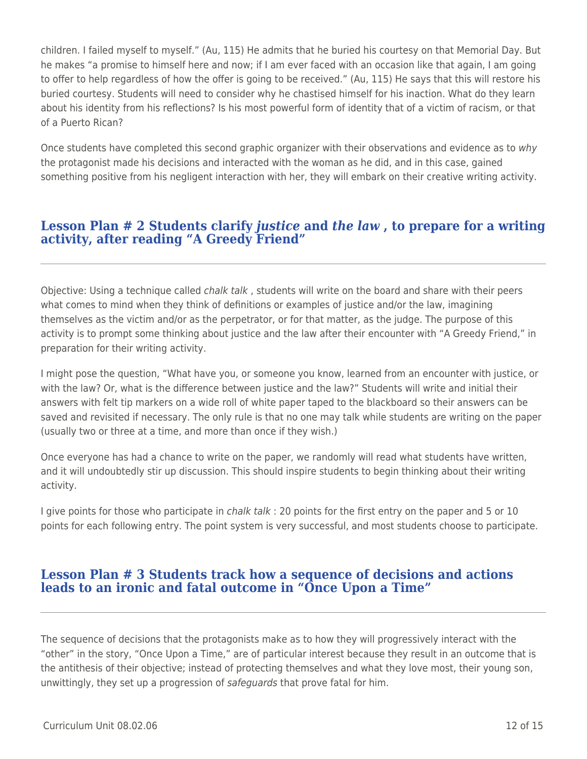children. I failed myself to myself." (Au, 115) He admits that he buried his courtesy on that Memorial Day. But he makes "a promise to himself here and now; if I am ever faced with an occasion like that again, I am going to offer to help regardless of how the offer is going to be received." (Au, 115) He says that this will restore his buried courtesy. Students will need to consider why he chastised himself for his inaction. What do they learn about his identity from his reflections? Is his most powerful form of identity that of a victim of racism, or that of a Puerto Rican?

Once students have completed this second graphic organizer with their observations and evidence as to why the protagonist made his decisions and interacted with the woman as he did, and in this case, gained something positive from his negligent interaction with her, they will embark on their creative writing activity.

## **Lesson Plan # 2 Students clarify** *justice* **and** *the law* **, to prepare for a writing activity, after reading "A Greedy Friend"**

Objective: Using a technique called *chalk talk*, students will write on the board and share with their peers what comes to mind when they think of definitions or examples of justice and/or the law, imagining themselves as the victim and/or as the perpetrator, or for that matter, as the judge. The purpose of this activity is to prompt some thinking about justice and the law after their encounter with "A Greedy Friend," in preparation for their writing activity.

I might pose the question, "What have you, or someone you know, learned from an encounter with justice, or with the law? Or, what is the difference between justice and the law?" Students will write and initial their answers with felt tip markers on a wide roll of white paper taped to the blackboard so their answers can be saved and revisited if necessary. The only rule is that no one may talk while students are writing on the paper (usually two or three at a time, and more than once if they wish.)

Once everyone has had a chance to write on the paper, we randomly will read what students have written, and it will undoubtedly stir up discussion. This should inspire students to begin thinking about their writing activity.

I give points for those who participate in chalk talk : 20 points for the first entry on the paper and 5 or 10 points for each following entry. The point system is very successful, and most students choose to participate.

### **Lesson Plan # 3 Students track how a sequence of decisions and actions leads to an ironic and fatal outcome in "Once Upon a Time"**

The sequence of decisions that the protagonists make as to how they will progressively interact with the "other" in the story, "Once Upon a Time," are of particular interest because they result in an outcome that is the antithesis of their objective; instead of protecting themselves and what they love most, their young son, unwittingly, they set up a progression of safeguards that prove fatal for him.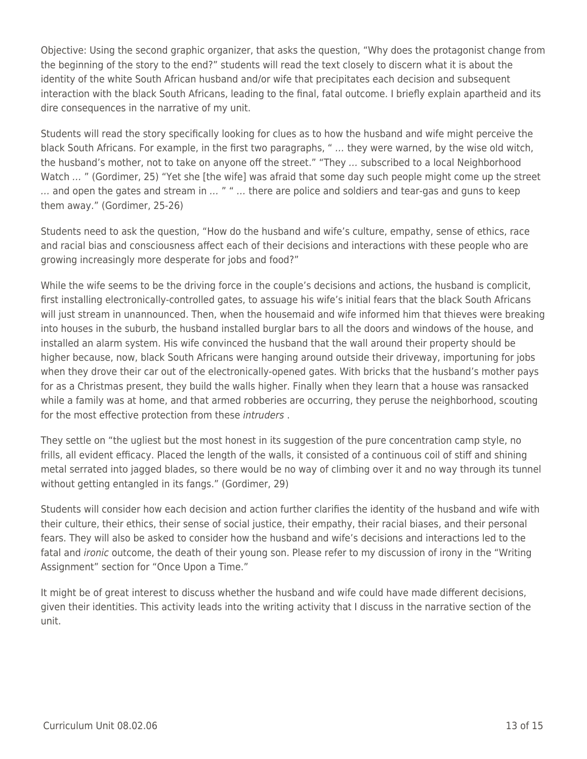Objective: Using the second graphic organizer, that asks the question, "Why does the protagonist change from the beginning of the story to the end?" students will read the text closely to discern what it is about the identity of the white South African husband and/or wife that precipitates each decision and subsequent interaction with the black South Africans, leading to the final, fatal outcome. I briefly explain apartheid and its dire consequences in the narrative of my unit.

Students will read the story specifically looking for clues as to how the husband and wife might perceive the black South Africans. For example, in the first two paragraphs, " … they were warned, by the wise old witch, the husband's mother, not to take on anyone off the street." "They … subscribed to a local Neighborhood Watch ... " (Gordimer, 25) "Yet she [the wife] was afraid that some day such people might come up the street … and open the gates and stream in … " " … there are police and soldiers and tear-gas and guns to keep them away." (Gordimer, 25-26)

Students need to ask the question, "How do the husband and wife's culture, empathy, sense of ethics, race and racial bias and consciousness affect each of their decisions and interactions with these people who are growing increasingly more desperate for jobs and food?"

While the wife seems to be the driving force in the couple's decisions and actions, the husband is complicit, first installing electronically-controlled gates, to assuage his wife's initial fears that the black South Africans will just stream in unannounced. Then, when the housemaid and wife informed him that thieves were breaking into houses in the suburb, the husband installed burglar bars to all the doors and windows of the house, and installed an alarm system. His wife convinced the husband that the wall around their property should be higher because, now, black South Africans were hanging around outside their driveway, importuning for jobs when they drove their car out of the electronically-opened gates. With bricks that the husband's mother pays for as a Christmas present, they build the walls higher. Finally when they learn that a house was ransacked while a family was at home, and that armed robberies are occurring, they peruse the neighborhood, scouting for the most effective protection from these intruders .

They settle on "the ugliest but the most honest in its suggestion of the pure concentration camp style, no frills, all evident efficacy. Placed the length of the walls, it consisted of a continuous coil of stiff and shining metal serrated into jagged blades, so there would be no way of climbing over it and no way through its tunnel without getting entangled in its fangs." (Gordimer, 29)

Students will consider how each decision and action further clarifies the identity of the husband and wife with their culture, their ethics, their sense of social justice, their empathy, their racial biases, and their personal fears. They will also be asked to consider how the husband and wife's decisions and interactions led to the fatal and *ironic* outcome, the death of their young son. Please refer to my discussion of irony in the "Writing Assignment" section for "Once Upon a Time."

It might be of great interest to discuss whether the husband and wife could have made different decisions, given their identities. This activity leads into the writing activity that I discuss in the narrative section of the unit.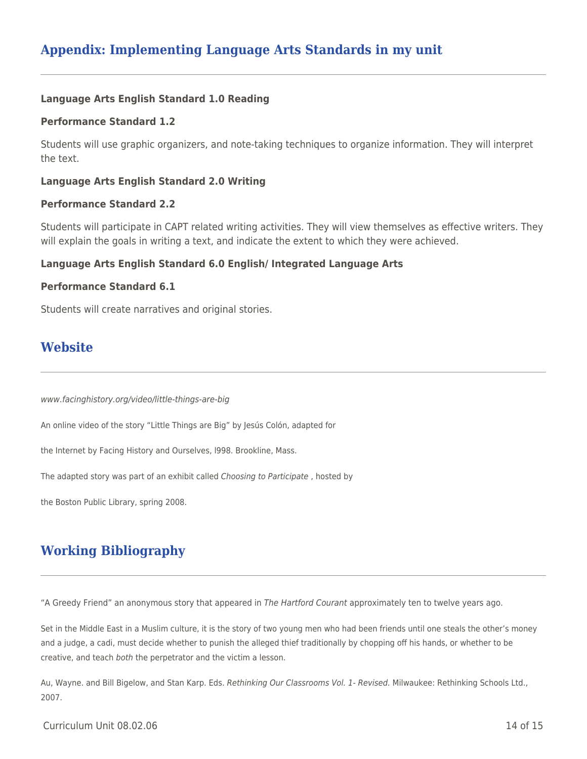## **Appendix: Implementing Language Arts Standards in my unit**

#### **Language Arts English Standard 1.0 Reading**

#### **Performance Standard 1.2**

Students will use graphic organizers, and note-taking techniques to organize information. They will interpret the text.

#### **Language Arts English Standard 2.0 Writing**

#### **Performance Standard 2.2**

Students will participate in CAPT related writing activities. They will view themselves as effective writers. They will explain the goals in writing a text, and indicate the extent to which they were achieved.

#### **Language Arts English Standard 6.0 English/ Integrated Language Arts**

#### **Performance Standard 6.1**

Students will create narratives and original stories.

## **Website**

www.facinghistory.org/video/little-things-are-big

An online video of the story "Little Things are Big" by Jesús Colón, adapted for

the Internet by Facing History and Ourselves, l998. Brookline, Mass.

The adapted story was part of an exhibit called Choosing to Participate , hosted by

the Boston Public Library, spring 2008.

# **Working Bibliography**

"A Greedy Friend" an anonymous story that appeared in The Hartford Courant approximately ten to twelve years ago.

Set in the Middle East in a Muslim culture, it is the story of two young men who had been friends until one steals the other's money and a judge, a cadi, must decide whether to punish the alleged thief traditionally by chopping off his hands, or whether to be creative, and teach both the perpetrator and the victim a lesson.

Au, Wayne. and Bill Bigelow, and Stan Karp. Eds. Rethinking Our Classrooms Vol. 1- Revised. Milwaukee: Rethinking Schools Ltd., 2007.